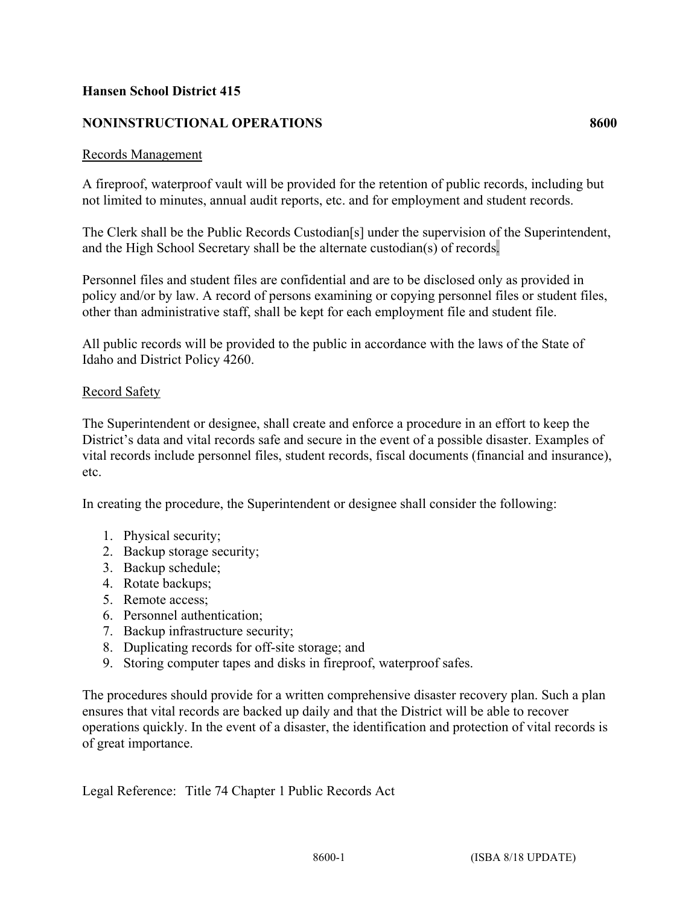## **Hansen School District 415**

## **NONINSTRUCTIONAL OPERATIONS 8600**

## Records Management

A fireproof, waterproof vault will be provided for the retention of public records, including but not limited to minutes, annual audit reports, etc. and for employment and student records.

The Clerk shall be the Public Records Custodian[s] under the supervision of the Superintendent, and the High School Secretary shall be the alternate custodian(s) of records.

Personnel files and student files are confidential and are to be disclosed only as provided in policy and/or by law. A record of persons examining or copying personnel files or student files, other than administrative staff, shall be kept for each employment file and student file.

All public records will be provided to the public in accordance with the laws of the State of Idaho and District Policy 4260.

## Record Safety

The Superintendent or designee, shall create and enforce a procedure in an effort to keep the District's data and vital records safe and secure in the event of a possible disaster. Examples of vital records include personnel files, student records, fiscal documents (financial and insurance), etc.

In creating the procedure, the Superintendent or designee shall consider the following:

- 1. Physical security;
- 2. Backup storage security;
- 3. Backup schedule;
- 4. Rotate backups;
- 5. Remote access;
- 6. Personnel authentication;
- 7. Backup infrastructure security;
- 8. Duplicating records for off-site storage; and
- 9. Storing computer tapes and disks in fireproof, waterproof safes.

The procedures should provide for a written comprehensive disaster recovery plan. Such a plan ensures that vital records are backed up daily and that the District will be able to recover operations quickly. In the event of a disaster, the identification and protection of vital records is of great importance.

Legal Reference: Title 74 Chapter 1 Public Records Act